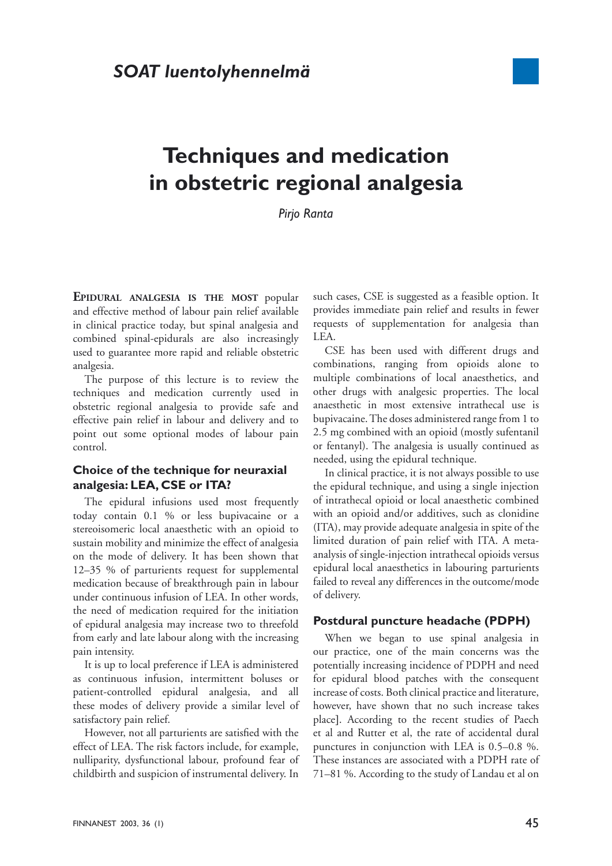

# **Techniques and medication in obstetric regional analgesia**

*Pirjo Ranta*

**EPIDURAL ANALGESIA IS THE MOST** popular and effective method of labour pain relief available in clinical practice today, but spinal analgesia and combined spinal-epidurals are also increasingly used to guarantee more rapid and reliable obstetric analgesia.

The purpose of this lecture is to review the techniques and medication currently used in obstetric regional analgesia to provide safe and effective pain relief in labour and delivery and to point out some optional modes of labour pain control.

## **Choice of the technique for neuraxial analgesia: LEA, CSE or ITA?**

The epidural infusions used most frequently today contain 0.1 % or less bupivacaine or a stereoisomeric local anaesthetic with an opioid to sustain mobility and minimize the effect of analgesia on the mode of delivery. It has been shown that 12–35 % of parturients request for supplemental medication because of breakthrough pain in labour under continuous infusion of LEA. In other words, the need of medication required for the initiation of epidural analgesia may increase two to threefold from early and late labour along with the increasing pain intensity.

It is up to local preference if LEA is administered as continuous infusion, intermittent boluses or patient-controlled epidural analgesia, and all these modes of delivery provide a similar level of satisfactory pain relief.

However, not all parturients are satisfied with the effect of LEA. The risk factors include, for example, nulliparity, dysfunctional labour, profound fear of childbirth and suspicion of instrumental delivery. In such cases, CSE is suggested as a feasible option. It provides immediate pain relief and results in fewer requests of supplementation for analgesia than LEA.

CSE has been used with different drugs and combinations, ranging from opioids alone to multiple combinations of local anaesthetics, and other drugs with analgesic properties. The local anaesthetic in most extensive intrathecal use is bupivacaine. The doses administered range from 1 to 2.5 mg combined with an opioid (mostly sufentanil or fentanyl). The analgesia is usually continued as needed, using the epidural technique.

In clinical practice, it is not always possible to use the epidural technique, and using a single injection of intrathecal opioid or local anaesthetic combined with an opioid and/or additives, such as clonidine (ITA), may provide adequate analgesia in spite of the limited duration of pain relief with ITA. A metaanalysis of single-injection intrathecal opioids versus epidural local anaesthetics in labouring parturients failed to reveal any differences in the outcome/mode of delivery.

### **Postdural puncture headache (PDPH)**

When we began to use spinal analgesia in our practice, one of the main concerns was the potentially increasing incidence of PDPH and need for epidural blood patches with the consequent increase of costs. Both clinical practice and literature, however, have shown that no such increase takes place]. According to the recent studies of Paech et al and Rutter et al, the rate of accidental dural punctures in conjunction with LEA is 0.5–0.8 %. These instances are associated with a PDPH rate of 71–81 %. According to the study of Landau et al on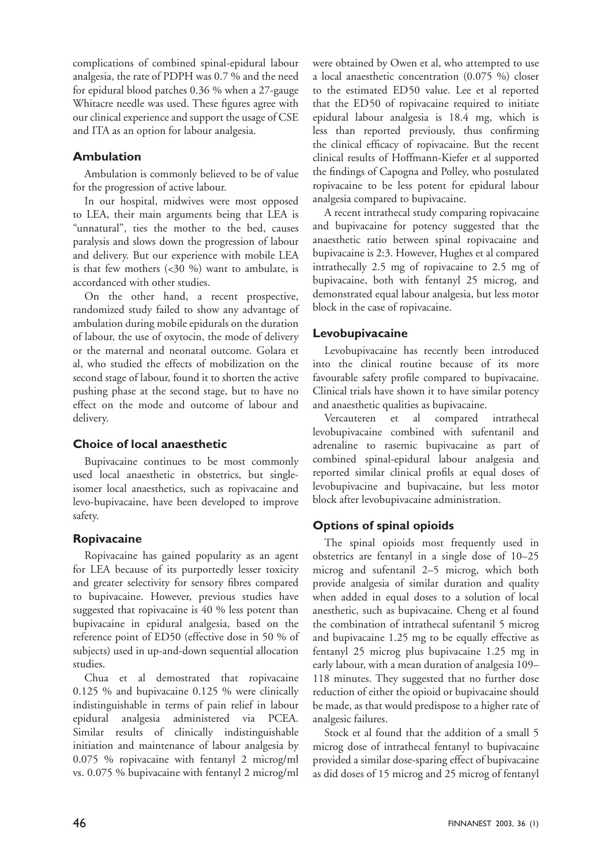complications of combined spinal-epidural labour analgesia, the rate of PDPH was 0.7 % and the need for epidural blood patches 0.36 % when a 27-gauge Whitacre needle was used. These figures agree with our clinical experience and support the usage of CSE and ITA as an option for labour analgesia.

# **Ambulation**

Ambulation is commonly believed to be of value for the progression of active labour.

In our hospital, midwives were most opposed to LEA, their main arguments being that LEA is "unnatural", ties the mother to the bed, causes paralysis and slows down the progression of labour and delivery. But our experience with mobile LEA is that few mothers  $( $30\%$ ) want to ambulate, is$ accordanced with other studies.

On the other hand, a recent prospective, randomized study failed to show any advantage of ambulation during mobile epidurals on the duration of labour, the use of oxytocin, the mode of delivery or the maternal and neonatal outcome. Golara et al, who studied the effects of mobilization on the second stage of labour, found it to shorten the active pushing phase at the second stage, but to have no effect on the mode and outcome of labour and delivery.

# **Choice of local anaesthetic**

Bupivacaine continues to be most commonly used local anaesthetic in obstetrics, but singleisomer local anaesthetics, such as ropivacaine and levo-bupivacaine, have been developed to improve safety.

# **Ropivacaine**

Ropivacaine has gained popularity as an agent for LEA because of its purportedly lesser toxicity and greater selectivity for sensory fibres compared to bupivacaine. However, previous studies have suggested that ropivacaine is 40 % less potent than bupivacaine in epidural analgesia, based on the reference point of ED50 (effective dose in 50 % of subjects) used in up-and-down sequential allocation studies.

Chua et al demostrated that ropivacaine 0.125 % and bupivacaine 0.125 % were clinically indistinguishable in terms of pain relief in labour epidural analgesia administered via PCEA. Similar results of clinically indistinguishable initiation and maintenance of labour analgesia by 0.075 % ropivacaine with fentanyl 2 microg/ml vs. 0.075 % bupivacaine with fentanyl 2 microg/ml were obtained by Owen et al, who attempted to use a local anaesthetic concentration (0.075 %) closer to the estimated ED50 value. Lee et al reported that the ED50 of ropivacaine required to initiate epidural labour analgesia is 18.4 mg, which is less than reported previously, thus confirming the clinical efficacy of ropivacaine. But the recent clinical results of Hoffmann-Kiefer et al supported the findings of Capogna and Polley, who postulated ropivacaine to be less potent for epidural labour analgesia compared to bupivacaine.

A recent intrathecal study comparing ropivacaine and bupivacaine for potency suggested that the anaesthetic ratio between spinal ropivacaine and bupivacaine is 2:3. However, Hughes et al compared intrathecally 2.5 mg of ropivacaine to 2.5 mg of bupivacaine, both with fentanyl 25 microg, and demonstrated equal labour analgesia, but less motor block in the case of ropivacaine.

# **Levobupivacaine**

Levobupivacaine has recently been introduced into the clinical routine because of its more favourable safety profile compared to bupivacaine. Clinical trials have shown it to have similar potency and anaesthetic qualities as bupivacaine.

Vercauteren et al compared intrathecal levobupivacaine combined with sufentanil and adrenaline to rasemic bupivacaine as part of combined spinal-epidural labour analgesia and reported similar clinical profils at equal doses of levobupivacine and bupivacaine, but less motor block after levobupivacaine administration.

# **Options of spinal opioids**

The spinal opioids most frequently used in obstetrics are fentanyl in a single dose of 10–25 microg and sufentanil 2–5 microg, which both provide analgesia of similar duration and quality when added in equal doses to a solution of local anesthetic, such as bupivacaine. Cheng et al found the combination of intrathecal sufentanil 5 microg and bupivacaine 1.25 mg to be equally effective as fentanyl 25 microg plus bupivacaine 1.25 mg in early labour, with a mean duration of analgesia 109– 118 minutes. They suggested that no further dose reduction of either the opioid or bupivacaine should be made, as that would predispose to a higher rate of analgesic failures.

Stock et al found that the addition of a small 5 microg dose of intrathecal fentanyl to bupivacaine provided a similar dose-sparing effect of bupivacaine as did doses of 15 microg and 25 microg of fentanyl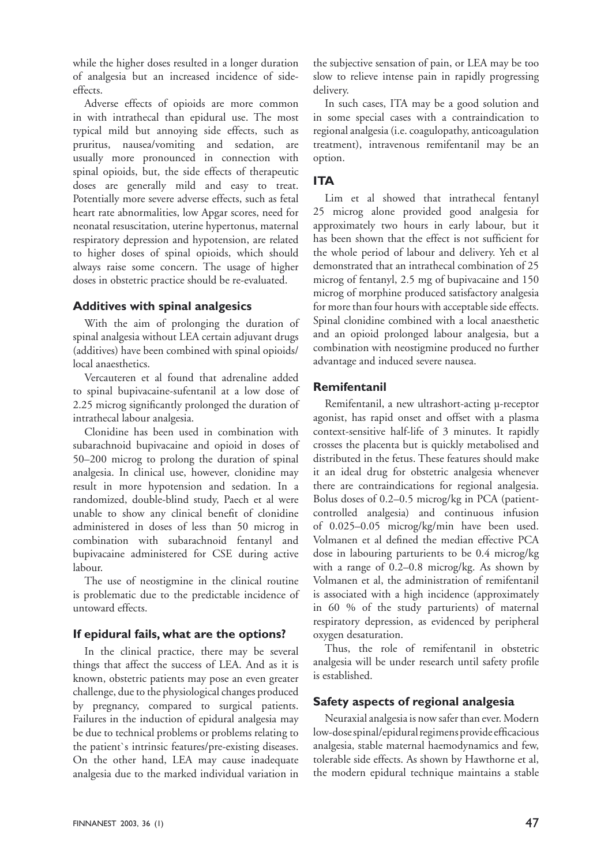while the higher doses resulted in a longer duration of analgesia but an increased incidence of sideeffects.

Adverse effects of opioids are more common in with intrathecal than epidural use. The most typical mild but annoying side effects, such as pruritus, nausea/vomiting and sedation, are usually more pronounced in connection with spinal opioids, but, the side effects of therapeutic doses are generally mild and easy to treat. Potentially more severe adverse effects, such as fetal heart rate abnormalities, low Apgar scores, need for neonatal resuscitation, uterine hypertonus, maternal respiratory depression and hypotension, are related to higher doses of spinal opioids, which should always raise some concern. The usage of higher doses in obstetric practice should be re-evaluated.

### **Additives with spinal analgesics**

With the aim of prolonging the duration of spinal analgesia without LEA certain adjuvant drugs (additives) have been combined with spinal opioids/ local anaesthetics.

Vercauteren et al found that adrenaline added to spinal bupivacaine-sufentanil at a low dose of 2.25 microg significantly prolonged the duration of intrathecal labour analgesia.

Clonidine has been used in combination with subarachnoid bupivacaine and opioid in doses of 50–200 microg to prolong the duration of spinal analgesia. In clinical use, however, clonidine may result in more hypotension and sedation. In a randomized, double-blind study, Paech et al were unable to show any clinical benefit of clonidine administered in doses of less than 50 microg in combination with subarachnoid fentanyl and bupivacaine administered for CSE during active labour.

The use of neostigmine in the clinical routine is problematic due to the predictable incidence of untoward effects.

### **If epidural fails, what are the options?**

In the clinical practice, there may be several things that affect the success of LEA. And as it is known, obstetric patients may pose an even greater challenge, due to the physiological changes produced by pregnancy, compared to surgical patients. Failures in the induction of epidural analgesia may be due to technical problems or problems relating to the patient`s intrinsic features/pre-existing diseases. On the other hand, LEA may cause inadequate analgesia due to the marked individual variation in

the subjective sensation of pain, or LEA may be too slow to relieve intense pain in rapidly progressing delivery.

In such cases, ITA may be a good solution and in some special cases with a contraindication to regional analgesia (i.e. coagulopathy, anticoagulation treatment), intravenous remifentanil may be an option.

# **ITA**

Lim et al showed that intrathecal fentanyl 25 microg alone provided good analgesia for approximately two hours in early labour, but it has been shown that the effect is not sufficient for the whole period of labour and delivery. Yeh et al demonstrated that an intrathecal combination of 25 microg of fentanyl, 2.5 mg of bupivacaine and 150 microg of morphine produced satisfactory analgesia for more than four hours with acceptable side effects. Spinal clonidine combined with a local anaesthetic and an opioid prolonged labour analgesia, but a combination with neostigmine produced no further advantage and induced severe nausea.

# **Remifentanil**

Remifentanil, a new ultrashort-acting µ-receptor agonist, has rapid onset and offset with a plasma context-sensitive half-life of 3 minutes. It rapidly crosses the placenta but is quickly metabolised and distributed in the fetus. These features should make it an ideal drug for obstetric analgesia whenever there are contraindications for regional analgesia. Bolus doses of 0.2–0.5 microg/kg in PCA (patientcontrolled analgesia) and continuous infusion of 0.025–0.05 microg/kg/min have been used. Volmanen et al defined the median effective PCA dose in labouring parturients to be 0.4 microg/kg with a range of 0.2–0.8 microg/kg. As shown by Volmanen et al, the administration of remifentanil is associated with a high incidence (approximately in 60 % of the study parturients) of maternal respiratory depression, as evidenced by peripheral oxygen desaturation.

Thus, the role of remifentanil in obstetric analgesia will be under research until safety profile is established.

# **Safety aspects of regional analgesia**

Neuraxial analgesia is now safer than ever. Modern low-dose spinal/epidural regimens provide efficacious analgesia, stable maternal haemodynamics and few, tolerable side effects. As shown by Hawthorne et al, the modern epidural technique maintains a stable